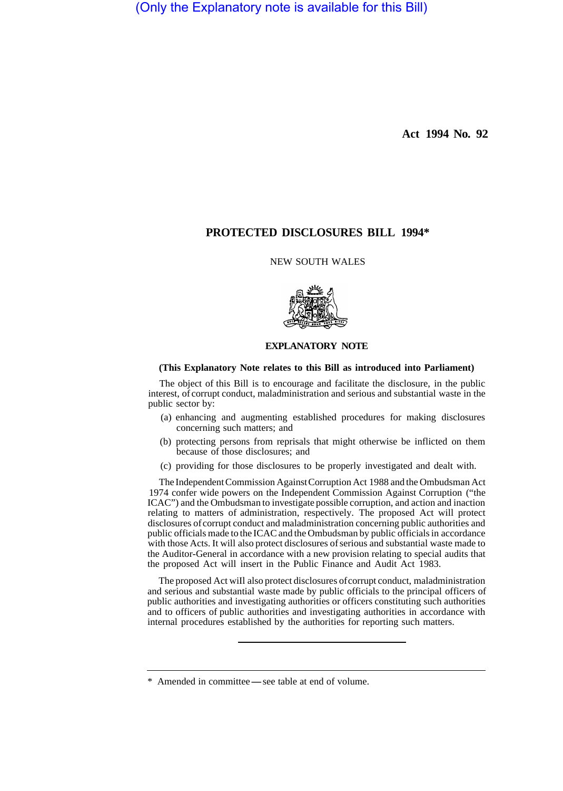(Only the Explanatory note is available for this Bill)

**Act 1994 No. 92** 

# **PROTECTED DISCLOSURES BILL 1994\***

## NEW SOUTH WALES



### **EXPLANATORY NOTE**

#### **(This Explanatory Note relates to this Bill as introduced into Parliament)**

The object of this Bill is to encourage and facilitate the disclosure, in the public interest, of corrupt conduct, maladministration and serious and substantial waste in the public sector by:

- (a) enhancing and augmenting established procedures for making disclosures concerning such matters; and
- (b) protecting persons from reprisals that might otherwise be inflicted on them because of those disclosures; and
- (c) providing for those disclosures to be properly investigated and dealt with.

The Independent Commission Against Corruption Act 1988 and the Ombudsman Act 1974 confer wide powers on the Independent Commission Against Corruption ("the ICAC") and the Ombudsman to investigate possible corruption, and action and inaction relating to matters of administration, respectively. The proposed Act will protect disclosures of corrupt conduct and maladministration concerning public authorities and public officials made to the ICAC and the Ombudsman by public officials in accordance with those Acts. It will also protect disclosures of serious and substantial waste made to the Auditor-General in accordance with a new provision relating to special audits that the proposed Act will insert in the Public Finance and Audit Act 1983.

The proposed Act wiIl also protect disclosures of corrupt conduct, maladministration and serious and substantial waste made by public officials to the principal officers of public authorities and investigating authorities or officers constituting such authorities and to officers of public authorities and investigating authorities in accordance with internal procedures established by the authorities for reporting such matters.

<sup>\*</sup> Amended in committee-see table at end of volume.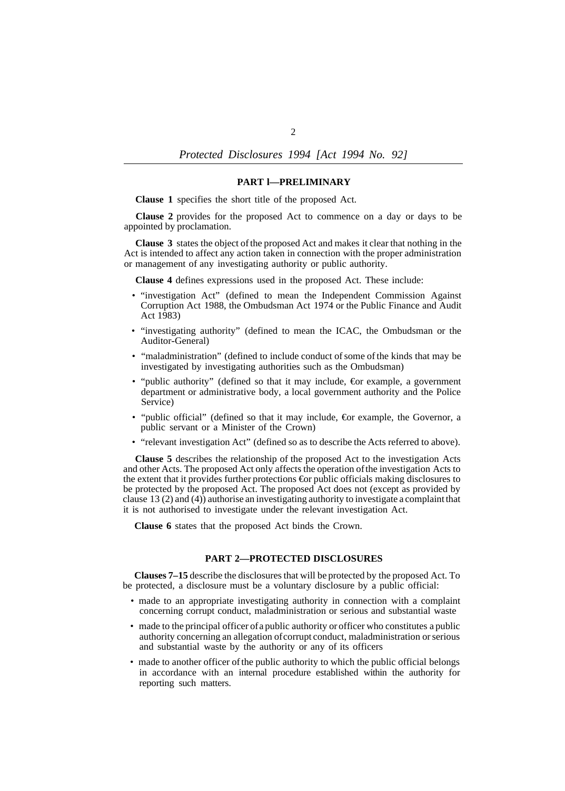# *Protected Disclosures 1994 [Act 1994 No. 92]*

### **PART l—PRELIMINARY**

**Clause 1** specifies the short title of the proposed Act.

**Clause 2** provides for the proposed Act to commence on a day or days to be appointed by proclamation.

**Clause 3** states the object of the proposed Act and makes it clear that nothing in the Act is intended to affect any action taken in connection with the proper administration or management of any investigating authority or public authority.

**Clause 4** defines expressions used in the proposed Act. These include:

- "investigation Act" (defined to mean the Independent Commission Against Corruption Act 1988, the Ombudsman Act 1974 or the Public Finance and Audit Act 1983)
- "investigating authority" (defined to mean the ICAC, the Ombudsman or the Auditor-General)
- "maladministration" (defined to include conduct of some of the kinds that may be investigated by investigating authorities such as the Ombudsman)
- "public authority" (defined so that it may include,  $\epsilon$ or example, a government department or administrative body, a local government authority and the Police Service)
- "public official" (defined so that it may include, €or example, the Governor, a public servant or a Minister of the Crown)
- "relevant investigation Act" (defined so as to describe the Acts referred to above).

**Clause 5** describes the relationship of the proposed Act to the investigation Acts and other Acts. The proposed Act only affects the operation of the investigation Acts to the extent that it provides further protections €or public officials making disclosures to be protected by the proposed Act. The proposed Act does not (except as provided by clause 13 (2) and (4)) authorise an investigating authority to investigate a complaint that it is not authorised to investigate under the relevant investigation Act.

**Clause 6** states that the proposed Act binds the Crown.

#### **PART 2—PROTECTED DISCLOSURES**

**Clauses 7–15** describe the disclosures that will be protected by the proposed Act. To be protected, a disclosure must be a voluntary disclosure by a public official:

- made to an appropriate investigating authority in connection with a complaint concerning corrupt conduct, maladministration or serious and substantial waste
- made to the principal officer of a public authority or officer who constitutes a public authority concerning an allegation of corrupt conduct, maladministration or serious and substantial waste by the authority or any of its officers
- made to another officer of the public authority to which the public official belongs in accordance with an internal procedure established within the authority for reporting such matters.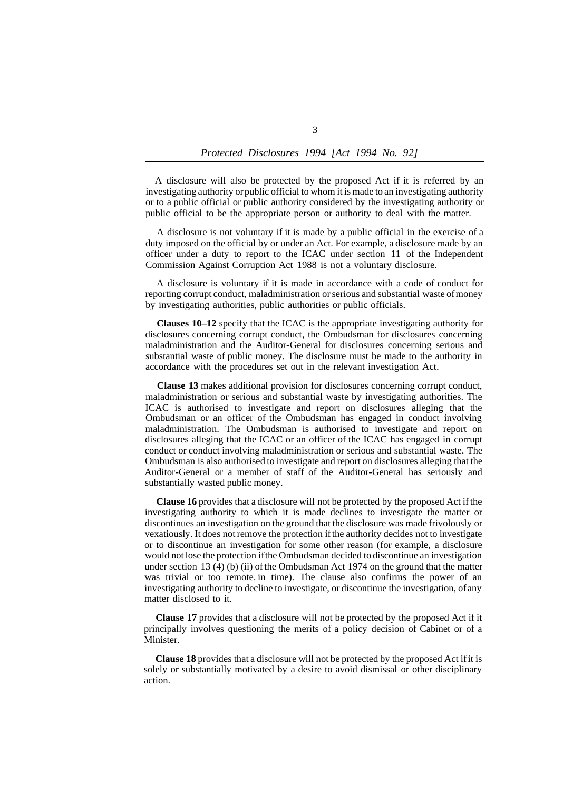A disclosure will also be protected by the proposed Act if it is referred by an investigating authority or public official to whom it is made to an investigating authority or to a public official or public authority considered by the investigating authority or public official to be the appropriate person or authority to deal with the matter.

A disclosure is not voluntary if it is made by a public official in the exercise of a duty imposed on the official by or under an Act. For example, a disclosure made by an officer under a duty to report to the ICAC under section 11 of the Independent Commission Against Corruption Act 1988 is not a voluntary disclosure.

A disclosure is voluntary if it is made in accordance with a code of conduct for reporting corrupt conduct, maladministration or serious and substantial waste of money by investigating authorities, public authorities or public officials.

**Clauses 10–12** specify that the ICAC is the appropriate investigating authority for disclosures concerning corrupt conduct, the Ombudsman for disclosures concerning maladministration and the Auditor-General for disclosures concerning serious and substantial waste of public money. The disclosure must be made to the authority in accordance with the procedures set out in the relevant investigation Act.

**Clause 13** makes additional provision for disclosures concerning corrupt conduct, maladministration or serious and substantial waste by investigating authorities. The ICAC is authorised to investigate and report on disclosures alleging that the Ombudsman or an officer of the Ombudsman has engaged in conduct involving maladministration. The Ombudsman is authorised to investigate and report on disclosures alleging that the ICAC or an officer of the ICAC has engaged in corrupt conduct or conduct involving maladministration or serious and substantial waste. The Ombudsman is also authorised to investigate and report on disclosures alleging that the Auditor-General or a member of staff of the Auditor-General has seriously and substantially wasted public money.

**Clause 16** provides that a disclosure will not be protected by the proposed Act if the investigating authority to which it is made declines to investigate the matter or discontinues an investigation on the ground that the disclosure was made frivolously or vexatiously. It does not remove the protection if the authority decides not to investigate or to discontinue an investigation for some other reason (for example, a disclosure would not lose the protection if the Ombudsman decided to discontinue an investigation under section 13 (4) (b) (ii) of the Ombudsman Act 1974 on the ground that the matter was trivial or too remote. in time). The clause also confirms the power of an investigating authority to decline to investigate, or discontinue the investigation, of any matter disclosed to it.

**Clause 17** provides that a disclosure will not be protected by the proposed Act if it principally involves questioning the merits of a policy decision of Cabinet or of a Minister.

**Clause 18** provides that a disclosure will not be protected by the proposed Act if it is solely or substantially motivated by a desire to avoid dismissal or other disciplinary action.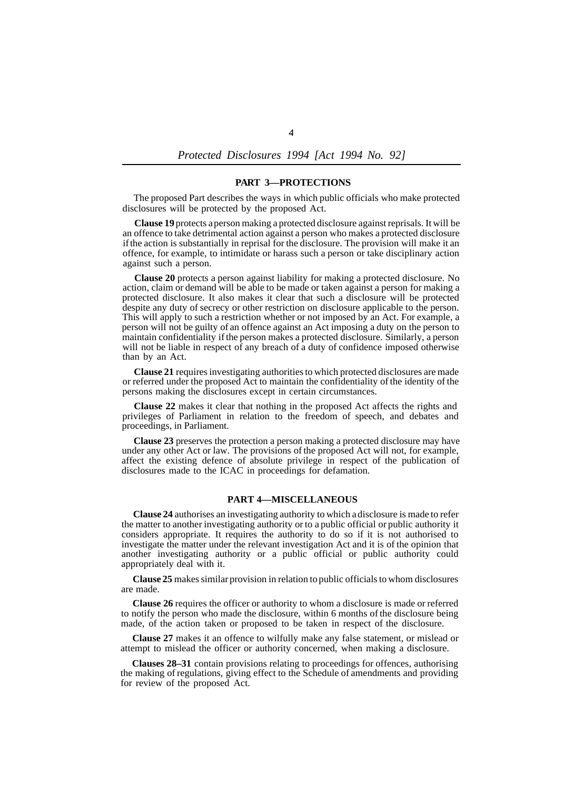### *Protected Disclosures 1994 [Act 1994 No. 92]*

#### **PART 3—PROTECTIONS**

The proposed Part describes the ways in which public officials who make protected disclosures will be protected by the proposed Act.

**Clause 19** protects a person making a protected disclosure against reprisals. It will be an offence to take detrimental action against a person who makes a protected disclosure if the action is substantially in reprisal for the disclosure. The provision will make it an offence, for example, to intimidate or harass such a person or take disciplinary action against such a person.

**Clause 20** protects a person against liability for making a protected disclosure. No action, claim or demand will be able to be made or taken against a person for making a protected disclosure. It also makes it clear that such a disclosure will be protected despite any duty of secrecy or other restriction on disclosure applicable to the person. This will apply to such a restriction whether or not imposed by an Act. For example, a person will not be guilty of an offence against an Act imposing a duty on the person to maintain confidentiality if the person makes a protected disclosure. Similarly, a person will not be liable in respect of any breach of a duty of confidence imposed otherwise than by an Act.

**Clause 21** requires investigating authorities to which protected disclosures are made or referred under the proposed Act to maintain the confidentiality of the identity of the persons making the disclosures except in certain circumstances.

**Clause 22** makes it clear that nothing in the proposed Act affects the rights and privileges of Parliament in relation to the freedom of speech, and debates and proceedings, in Parliament.

**Clause 23** preserves the protection a person making a protected disclosure may have under any other Act or law. The provisions of the proposed Act will not, for example, affect the existing defence of absolute privilege in respect of the publication of disclosures made to the ICAC in proceedings for defamation.

# **PART 4—MISCELLANEOUS**

**Clause 24** authorises an investigating authority to which a disclosure is made to refer the matter to another investigating authority or to a public official or public authority it considers appropriate. It requires the authority to do so if it is not authorised to investigate the matter under the relevant investigation Act and it is of the opinion that another investigating authority or a public official or public authority could appropriately deal with it.

**Clause 25** makes similar provision in relation to public officials to whom disclosures are made.

**Clause 26** requires the officer or authority to whom a disclosure is made or referred to notify the person who made the disclosure, within 6 months of the disclosure being made, of the action taken or proposed to be taken in respect of the disclosure.

**Clause 27** makes it an offence to wilfully make any false statement, or mislead or attempt to mislead the officer or authority concerned, when making a disclosure.

**Clauses 28–31** contain provisions relating to proceedings for offences, authorising the making of regulations, giving effect to the Schedule of amendments and providing for review of the proposed Act.